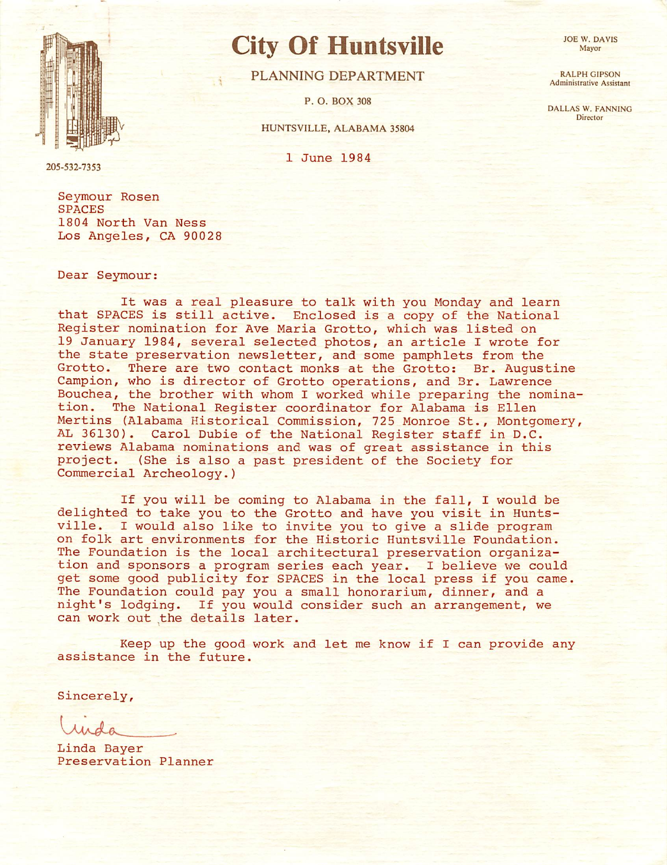

## City Of Huntsville

PLANNING DEPARTMENT

P. O. BOX 308

## HUNTSVILLE, ALABAMA 35804

1 June 1984

205-532-7353

Seymour Rosen SPACES 1804 North Van Ness Los Angeles, CA 90028

Dear Seymour:

It was a real pleasure to talk with you Monday and learn that SPACES is still active. Enclosed is a copy of the National Register nomination for Ave Maria Grotto, which was listed on 19 January 1984, several selected photos, an article I wrote for the state preservation new sletter, and some pamphlets from the Grotto. There are two contact monks at the Grotto: Br. Augustine Campion, who is director of Grotto operations, and Br. Lawrence Bouchea, the brother with whom I worked while preparing the nomina-<br>tion. The National Register coordinator for Alabama is Ellen The National Register coordinator for Alabama is Ellen Mertins (Alabama Historical Commission, 725 Monroe St., Montgomery, AL 36130). Carol Dubie of the National Register staff in D.C. reviews Alabama nominations and was of great assistance in this project. (She is also a past president of the Society for Commercial Archeology.)

If you will be coming to Alabama in the fall, I would be delighted to take you to the Grotto and have you visit in Huntsville. I would also like to invite you to give a slide program on folk art environments for the Historic Huntsville Foundation. The Foundation is the local architectural preservation organization and sponsors a program series each year. I believe we could get some good publicity for SPACES in the local press if you came. The Foundation could pay you a small honorarium, dinner, and a night's lodging. If you would consider such an arrangement, we can work out the details later.

Keep up the good work and let me know if I can provide any assistance in the future.

Sincerely,

Linda Bayer Preservation Planner **JOE W. DAVIS** Mayor

RALPH GIPSON Administrative Assistant

DALLAS W. FANNING **Director**